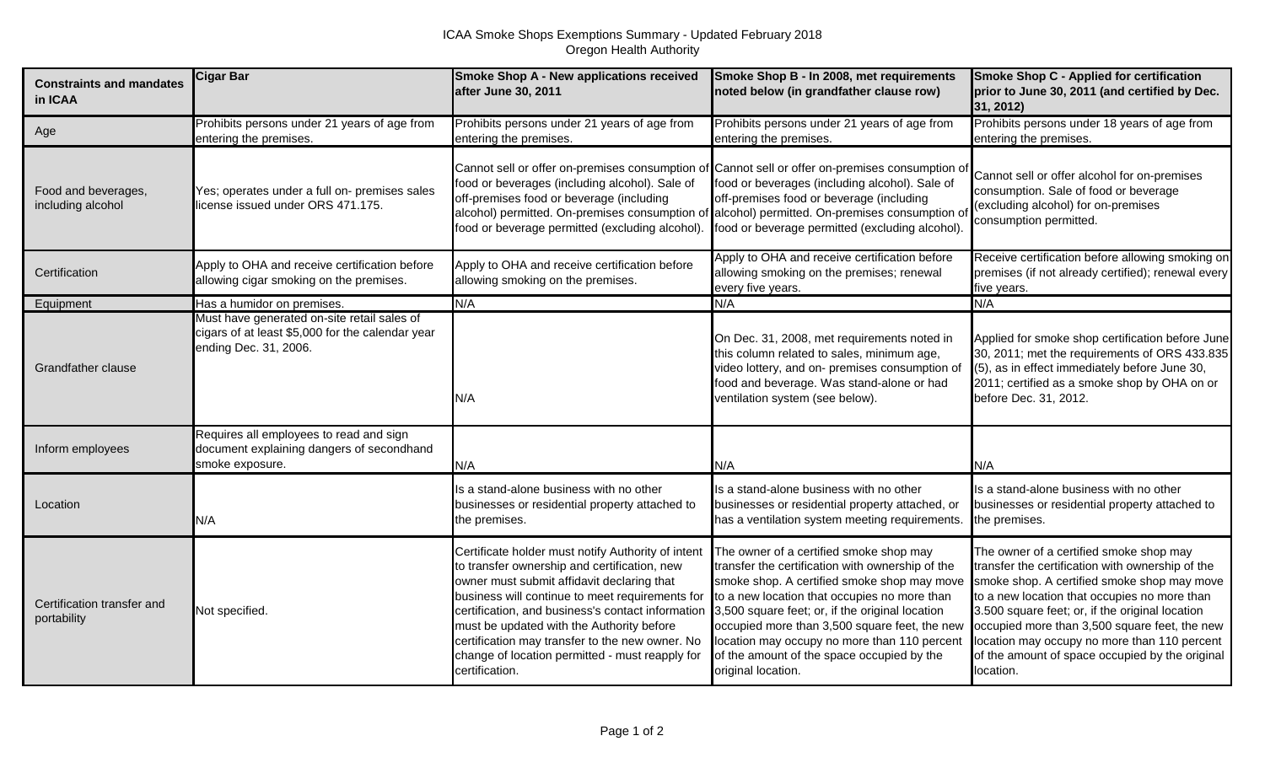| <b>Constraints and mandates</b><br>in ICAA | <b>Cigar Bar</b>                                                                                                         | Smoke Shop A - New applications received<br>after June 30, 2011                                                                                                                                                                                                                                                                                                                                                               | Smoke Shop B - In 2008, met requirements<br>noted below (in grandfather clause row)                                                                                                                                                                                                                                                                                                                                | Smoke Shop C - Applied for certification<br>prior to June 30, 2011 (and certified by Dec.<br>31, 2012)                                                                                                                                                                                                                                                                                                         |
|--------------------------------------------|--------------------------------------------------------------------------------------------------------------------------|-------------------------------------------------------------------------------------------------------------------------------------------------------------------------------------------------------------------------------------------------------------------------------------------------------------------------------------------------------------------------------------------------------------------------------|--------------------------------------------------------------------------------------------------------------------------------------------------------------------------------------------------------------------------------------------------------------------------------------------------------------------------------------------------------------------------------------------------------------------|----------------------------------------------------------------------------------------------------------------------------------------------------------------------------------------------------------------------------------------------------------------------------------------------------------------------------------------------------------------------------------------------------------------|
| Age                                        | Prohibits persons under 21 years of age from<br>entering the premises.                                                   | Prohibits persons under 21 years of age from<br>entering the premises.                                                                                                                                                                                                                                                                                                                                                        | Prohibits persons under 21 years of age from<br>entering the premises.                                                                                                                                                                                                                                                                                                                                             | Prohibits persons under 18 years of age from<br>entering the premises.                                                                                                                                                                                                                                                                                                                                         |
| Food and beverages,<br>including alcohol   | Yes; operates under a full on- premises sales<br>license issued under ORS 471.175.                                       | Cannot sell or offer on-premises consumption of Cannot sell or offer on-premises consumption of<br>food or beverages (including alcohol). Sale of<br>off-premises food or beverage (including<br>alcohol) permitted. On-premises consumption of alcohol) permitted. On-premises consumption o<br>food or beverage permitted (excluding alcohol).                                                                              | food or beverages (including alcohol). Sale of<br>off-premises food or beverage (including<br>food or beverage permitted (excluding alcohol).                                                                                                                                                                                                                                                                      | Cannot sell or offer alcohol for on-premises<br>consumption. Sale of food or beverage<br>(excluding alcohol) for on-premises<br>consumption permitted.                                                                                                                                                                                                                                                         |
| Certification                              | Apply to OHA and receive certification before<br>allowing cigar smoking on the premises.                                 | Apply to OHA and receive certification before<br>allowing smoking on the premises.                                                                                                                                                                                                                                                                                                                                            | Apply to OHA and receive certification before<br>allowing smoking on the premises; renewal<br>every five years.                                                                                                                                                                                                                                                                                                    | Receive certification before allowing smoking on<br>premises (if not already certified); renewal every<br>five years.                                                                                                                                                                                                                                                                                          |
| Equipment                                  | Has a humidor on premises.                                                                                               | N/A                                                                                                                                                                                                                                                                                                                                                                                                                           | N/A                                                                                                                                                                                                                                                                                                                                                                                                                | N/A                                                                                                                                                                                                                                                                                                                                                                                                            |
| <b>Grandfather clause</b>                  | Must have generated on-site retail sales of<br>cigars of at least \$5,000 for the calendar year<br>ending Dec. 31, 2006. | N/A                                                                                                                                                                                                                                                                                                                                                                                                                           | On Dec. 31, 2008, met requirements noted in<br>this column related to sales, minimum age,<br>video lottery, and on- premises consumption of<br>food and beverage. Was stand-alone or had<br>ventilation system (see below).                                                                                                                                                                                        | Applied for smoke shop certification before June<br>30, 2011; met the requirements of ORS 433.835<br>(5), as in effect immediately before June 30,<br>2011; certified as a smoke shop by OHA on or<br>before Dec. 31, 2012.                                                                                                                                                                                    |
| Inform employees                           | Requires all employees to read and sign<br>document explaining dangers of secondhand<br>smoke exposure.                  | N/A                                                                                                                                                                                                                                                                                                                                                                                                                           | N/A                                                                                                                                                                                                                                                                                                                                                                                                                | N/A                                                                                                                                                                                                                                                                                                                                                                                                            |
| Location                                   | N/A                                                                                                                      | Is a stand-alone business with no other<br>businesses or residential property attached to<br>the premises.                                                                                                                                                                                                                                                                                                                    | Is a stand-alone business with no other<br>businesses or residential property attached, or<br>has a ventilation system meeting requirements.                                                                                                                                                                                                                                                                       | Is a stand-alone business with no other<br>businesses or residential property attached to<br>the premises.                                                                                                                                                                                                                                                                                                     |
| Certification transfer and<br>portability  | Not specified.                                                                                                           | Certificate holder must notify Authority of intent<br>to transfer ownership and certification, new<br>owner must submit affidavit declaring that<br>business will continue to meet requirements for<br>certification, and business's contact information<br>must be updated with the Authority before<br>certification may transfer to the new owner. No<br>change of location permitted - must reapply for<br>certification. | The owner of a certified smoke shop may<br>transfer the certification with ownership of the<br>smoke shop. A certified smoke shop may move<br>to a new location that occupies no more than<br>3,500 square feet; or, if the original location<br>occupied more than 3,500 square feet, the new<br>location may occupy no more than 110 percent<br>of the amount of the space occupied by the<br>original location. | The owner of a certified smoke shop may<br>transfer the certification with ownership of the<br>smoke shop. A certified smoke shop may move<br>to a new location that occupies no more than<br>3.500 square feet; or, if the original location<br>occupied more than 3,500 square feet, the new<br>location may occupy no more than 110 percent<br>of the amount of space occupied by the original<br>location. |